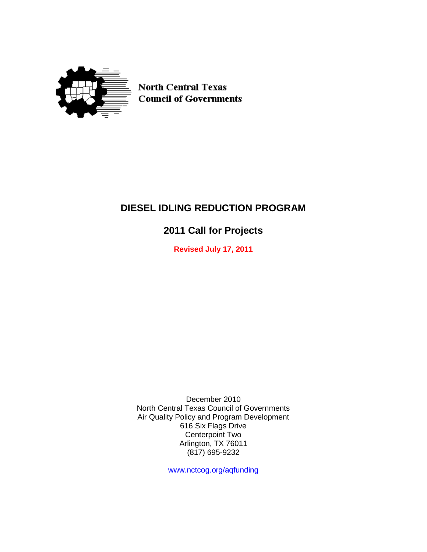

**North Central Texas Council of Governments** 

# **DIESEL IDLING REDUCTION PROGRAM**

# **2011 Call for Projects**

**Revised July 17, 2011**

December 2010 North Central Texas Council of Governments Air Quality Policy and Program Development 616 Six Flags Drive Centerpoint Two Arlington, TX 76011 (817) 695-9232

www.nctcog.org/aqfunding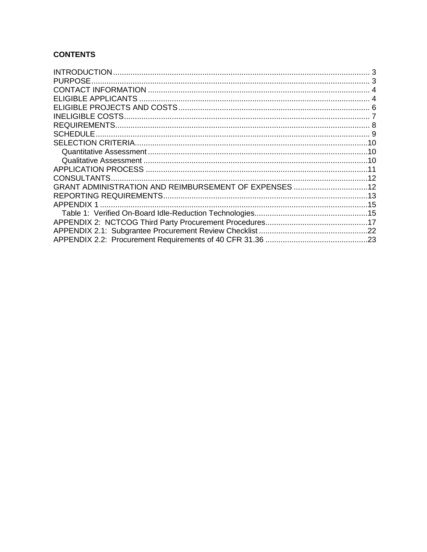# **CONTENTS**

| PURPOSE.          |  |
|-------------------|--|
|                   |  |
|                   |  |
|                   |  |
|                   |  |
|                   |  |
|                   |  |
|                   |  |
|                   |  |
|                   |  |
|                   |  |
|                   |  |
|                   |  |
|                   |  |
| <b>APPENDIX 1</b> |  |
|                   |  |
|                   |  |
|                   |  |
|                   |  |
|                   |  |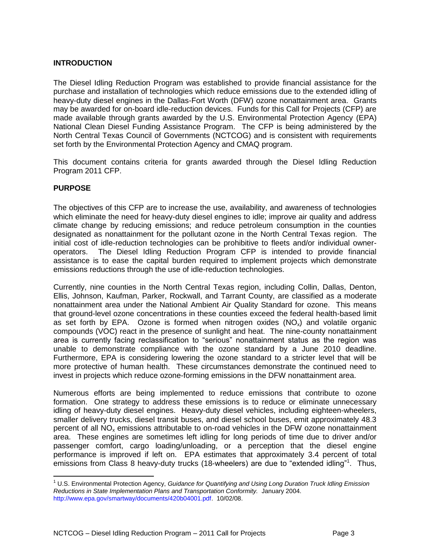# <span id="page-2-0"></span>**INTRODUCTION**

The Diesel Idling Reduction Program was established to provide financial assistance for the purchase and installation of technologies which reduce emissions due to the extended idling of heavy-duty diesel engines in the Dallas-Fort Worth (DFW) ozone nonattainment area. Grants may be awarded for on-board idle-reduction devices. Funds for this Call for Projects (CFP) are made available through grants awarded by the U.S. Environmental Protection Agency (EPA) National Clean Diesel Funding Assistance Program. The CFP is being administered by the North Central Texas Council of Governments (NCTCOG) and is consistent with requirements set forth by the Environmental Protection Agency and CMAQ program.

This document contains criteria for grants awarded through the Diesel Idling Reduction Program 2011 CFP.

# <span id="page-2-1"></span>**PURPOSE**

 $\overline{a}$ 

The objectives of this CFP are to increase the use, availability, and awareness of technologies which eliminate the need for heavy-duty diesel engines to idle; improve air quality and address climate change by reducing emissions; and reduce petroleum consumption in the counties designated as nonattainment for the pollutant ozone in the North Central Texas region. The initial cost of idle-reduction technologies can be prohibitive to fleets and/or individual owneroperators. The Diesel Idling Reduction Program CFP is intended to provide financial assistance is to ease the capital burden required to implement projects which demonstrate emissions reductions through the use of idle-reduction technologies.

Currently, nine counties in the North Central Texas region, including Collin, Dallas, Denton, Ellis, Johnson, Kaufman, Parker, Rockwall, and Tarrant County, are classified as a moderate nonattainment area under the National Ambient Air Quality Standard for ozone. This means that ground-level ozone concentrations in these counties exceed the federal health-based limit as set forth by EPA. Ozone is formed when nitrogen oxides  $(NO_x)$  and volatile organic compounds (VOC) react in the presence of sunlight and heat. The nine-county nonattainment area is currently facing reclassification to "serious" nonattainment status as the region was unable to demonstrate compliance with the ozone standard by a June 2010 deadline. Furthermore, EPA is considering lowering the ozone standard to a stricter level that will be more protective of human health. These circumstances demonstrate the continued need to invest in projects which reduce ozone-forming emissions in the DFW nonattainment area.

Numerous efforts are being implemented to reduce emissions that contribute to ozone formation. One strategy to address these emissions is to reduce or eliminate unnecessary idling of heavy-duty diesel engines. Heavy-duty diesel vehicles, including eighteen-wheelers, smaller delivery trucks, diesel transit buses, and diesel school buses, emit approximately 48.3 percent of all  $NO<sub>x</sub>$  emissions attributable to on-road vehicles in the DFW ozone nonattainment area. These engines are sometimes left idling for long periods of time due to driver and/or passenger comfort, cargo loading/unloading, or a perception that the diesel engine performance is improved if left on. EPA estimates that approximately 3.4 percent of total emissions from Class 8 heavy-duty trucks (18-wheelers) are due to "extended idling"<sup>1</sup>. Thus,

<sup>1</sup> U.S. Environmental Protection Agency, *Guidance for Quantifying and Using Long Duration Truck Idling Emission Reductions in State Implementation Plans and Transportation Conformity.* January 2004. [http://www.epa.gov/smartway/documents/420b04001.pdf.](http://www.epa.gov/smartway/documents/420b04001.pdf) 10/02/08.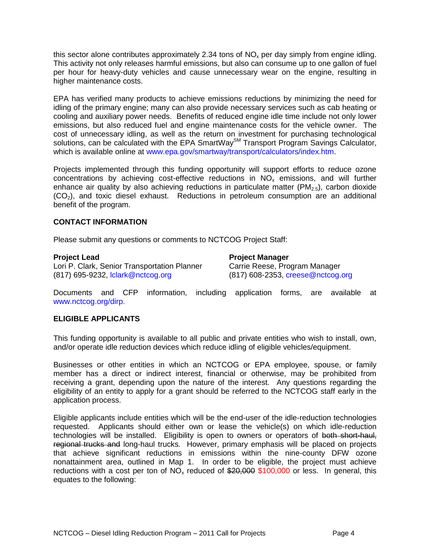this sector alone contributes approximately 2.34 tons of  $NO<sub>x</sub>$  per day simply from engine idling. This activity not only releases harmful emissions, but also can consume up to one gallon of fuel per hour for heavy-duty vehicles and cause unnecessary wear on the engine, resulting in higher maintenance costs.

EPA has verified many products to achieve emissions reductions by minimizing the need for idling of the primary engine; many can also provide necessary services such as cab heating or cooling and auxiliary power needs. Benefits of reduced engine idle time include not only lower emissions, but also reduced fuel and engine maintenance costs for the vehicle owner. The cost of unnecessary idling, as well as the return on investment for purchasing technological solutions, can be calculated with the EPA SmartWay<sup>SM</sup> Transport Program Savings Calculator, which is available online at [www.epa.gov/smartway/transport/calculators/index.htm.](file://NCTCOG.DST.TX.US/office$/programs$/Air_Quality_M&O/_Policy%20&%20Program%20Development/DieselIdlingReductionProgram/Fall%202010/www.epa.gov/smartway/transport/calculators/index.htm)

Projects implemented through this funding opportunity will support efforts to reduce ozone concentrations by achieving cost-effective reductions in  $NO<sub>x</sub>$  emissions, and will further enhance air quality by also achieving reductions in particulate matter  $(PM_{2.5})$ , carbon dioxide  $(CO<sub>2</sub>)$ , and toxic diesel exhaust. Reductions in petroleum consumption are an additional benefit of the program.

#### <span id="page-3-0"></span>**CONTACT INFORMATION**

Please submit any questions or comments to NCTCOG Project Staff:

Lori P. Clark, Senior Transportation Planner Carrie Reese, Program Manager (817) 695-9232, [lclark@nctcog.org](mailto:lclark@nctcog.org) (817) 608-2353, [creese@nctcog.org](mailto:creese@nctcog.org)

**Project Lead Project Manager**

Documents and CFP information, including application forms, are available at www.nctcog.org/dirp.

# <span id="page-3-1"></span>**ELIGIBLE APPLICANTS**

This funding opportunity is available to all public and private entities who wish to install, own, and/or operate idle reduction devices which reduce idling of eligible vehicles/equipment.

Businesses or other entities in which an NCTCOG or EPA employee, spouse, or family member has a direct or indirect interest, financial or otherwise, may be prohibited from receiving a grant, depending upon the nature of the interest. Any questions regarding the eligibility of an entity to apply for a grant should be referred to the NCTCOG staff early in the application process.

Eligible applicants include entities which will be the end-user of the idle-reduction technologies requested. Applicants should either own or lease the vehicle(s) on which idle-reduction technologies will be installed. Eligibility is open to owners or operators of both short-haulregional trucks and long-haul trucks. However, primary emphasis will be placed on projects that achieve significant reductions in emissions within the nine-county DFW ozone nonattainment area, outlined in Map 1. In order to be eligible, the project must achieve reductions with a cost per ton of  $NO_x$  reduced of  $$20,000$  \$100,000 or less. In general, this equates to the following: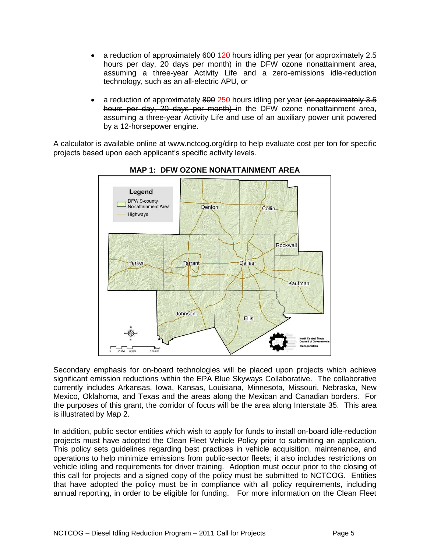- a reduction of approximately 600 120 hours idling per year (or approximately 2.5  $\bullet$ hours per day, 20 days per month) in the DFW ozone nonattainment area, assuming a three-year Activity Life and a zero-emissions idle-reduction technology, such as an all-electric APU, or
- a reduction of approximately 800 250 hours idling per year (or approximately 3.5 hours per day, 20 days per month) in the DFW ozone nonattainment area, assuming a three-year Activity Life and use of an auxiliary power unit powered by a 12-horsepower engine.

A calculator is available online at [www.nctcog.org/dirp](http://www.nctcog.org/dirp) to help evaluate cost per ton for specific projects based upon each applicant's specific activity levels.



**MAP 1: DFW OZONE NONATTAINMENT AREA**

Secondary emphasis for on-board technologies will be placed upon projects which achieve significant emission reductions within the EPA Blue Skyways Collaborative. The collaborative currently includes Arkansas, Iowa, Kansas, Louisiana, Minnesota, Missouri, Nebraska, New Mexico, Oklahoma, and Texas and the areas along the Mexican and Canadian borders. For the purposes of this grant, the corridor of focus will be the area along Interstate 35. This area is illustrated by Map 2.

In addition, public sector entities which wish to apply for funds to install on-board idle-reduction projects must have adopted the Clean Fleet Vehicle Policy prior to submitting an application. This policy sets guidelines regarding best practices in vehicle acquisition, maintenance, and operations to help minimize emissions from public-sector fleets; it also includes restrictions on vehicle idling and requirements for driver training. Adoption must occur prior to the closing of this call for projects and a signed copy of the policy must be submitted to NCTCOG. Entities that have adopted the policy must be in compliance with all policy requirements, including annual reporting, in order to be eligible for funding. For more information on the Clean Fleet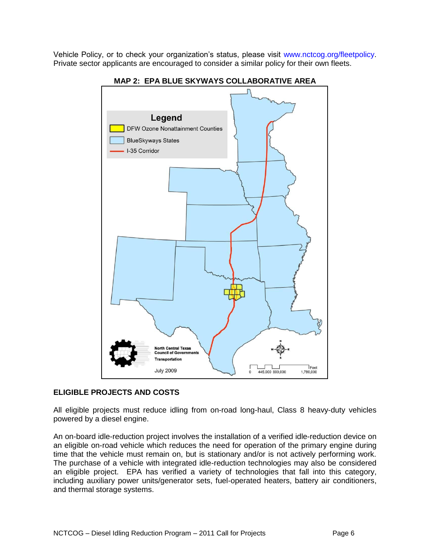Vehicle Policy, or to check your organization's status, please visit [www.nctcog.org/fleetpolicy.](http://www.nctcog.org/fleetpolicy) Private sector applicants are encouraged to consider a similar policy for their own fleets.



**MAP 2: EPA BLUE SKYWAYS COLLABORATIVE AREA**

# <span id="page-5-0"></span>**ELIGIBLE PROJECTS AND COSTS**

All eligible projects must reduce idling from on-road long-haul, Class 8 heavy-duty vehicles powered by a diesel engine.

An on-board idle-reduction project involves the installation of a verified idle-reduction device on an eligible on-road vehicle which reduces the need for operation of the primary engine during time that the vehicle must remain on, but is stationary and/or is not actively performing work. The purchase of a vehicle with integrated idle-reduction technologies may also be considered an eligible project. EPA has verified a variety of technologies that fall into this category, including auxiliary power units/generator sets, fuel-operated heaters, battery air conditioners, and thermal storage systems.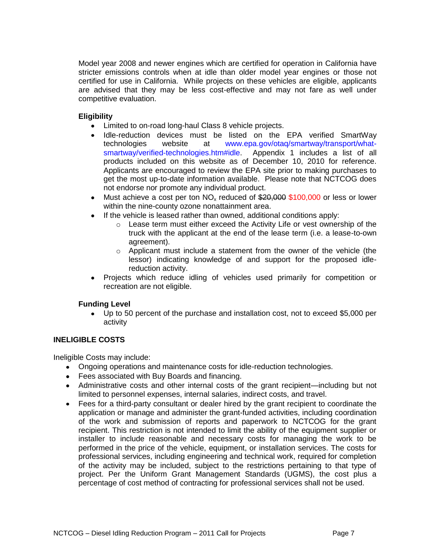Model year 2008 and newer engines which are certified for operation in California have stricter emissions controls when at idle than older model year engines or those not certified for use in California. While projects on these vehicles are eligible, applicants are advised that they may be less cost-effective and may not fare as well under competitive evaluation.

## **Eligibility**

- $\bullet$ Limited to on-road long-haul Class 8 vehicle projects.
- Idle-reduction devices must be listed on the EPA verified SmartWay technologies website at [www.epa.gov/otaq/smartway/transport/what](http://www.epa.gov/otaq/smartway/transport/what-smartway/verified-technologies.htm#idle)[smartway/verified-technologies.htm#idle.](http://www.epa.gov/otaq/smartway/transport/what-smartway/verified-technologies.htm#idle) Appendix 1 includes a list of all products included on this website as of December 10, 2010 for reference. Applicants are encouraged to review the EPA site prior to making purchases to get the most up-to-date information available. Please note that NCTCOG does not endorse nor promote any individual product.
- Must achieve a cost per ton  $NO_x$  reduced of  $$20,000$   $$100,000$  or less or lower within the nine-county ozone nonattainment area.
- If the vehicle is leased rather than owned, additional conditions apply:
	- o Lease term must either exceed the Activity Life or vest ownership of the truck with the applicant at the end of the lease term (i.e. a lease-to-own agreement).
	- o Applicant must include a statement from the owner of the vehicle (the lessor) indicating knowledge of and support for the proposed idlereduction activity.
- Projects which reduce idling of vehicles used primarily for competition or recreation are not eligible.

# **Funding Level**

Up to 50 percent of the purchase and installation cost, not to exceed \$5,000 per activity

# <span id="page-6-0"></span>**INELIGIBLE COSTS**

Ineligible Costs may include:

- Ongoing operations and maintenance costs for idle-reduction technologies.
- Fees associated with Buy Boards and financing.
- Administrative costs and other internal costs of the grant recipient—including but not limited to personnel expenses, internal salaries, indirect costs, and travel.
- Fees for a third-party consultant or dealer hired by the grant recipient to coordinate the  $\bullet$ application or manage and administer the grant-funded activities, including coordination of the work and submission of reports and paperwork to NCTCOG for the grant recipient. This restriction is not intended to limit the ability of the equipment supplier or installer to include reasonable and necessary costs for managing the work to be performed in the price of the vehicle, equipment, or installation services. The costs for professional services, including engineering and technical work, required for completion of the activity may be included, subject to the restrictions pertaining to that type of project. Per the Uniform Grant Management Standards (UGMS), the cost plus a percentage of cost method of contracting for professional services shall not be used.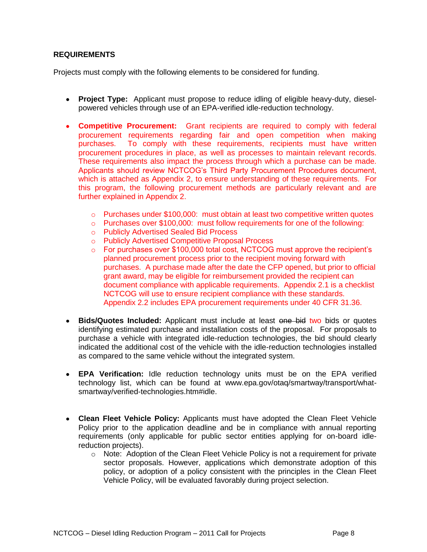# <span id="page-7-0"></span>**REQUIREMENTS**

Projects must comply with the following elements to be considered for funding.

- **Project Type:** Applicant must propose to reduce idling of eligible heavy-duty, diesel- $\bullet$ powered vehicles through use of an EPA-verified idle-reduction technology.
- **Competitive Procurement:** Grant recipients are required to comply with federal procurement requirements regarding fair and open competition when making purchases. To comply with these requirements, recipients must have written procurement procedures in place, as well as processes to maintain relevant records. These requirements also impact the process through which a purchase can be made. Applicants should review NCTCOG's Third Party Procurement Procedures document, which is attached as Appendix 2, to ensure understanding of these requirements. For this program, the following procurement methods are particularly relevant and are further explained in Appendix 2.
	- o Purchases under \$100,000: must obtain at least two competitive written quotes
	- o Purchases over \$100,000: must follow requirements for one of the following:
	- o Publicly Advertised Sealed Bid Process
	- o Publicly Advertised Competitive Proposal Process
	- o For purchases over \$100,000 total cost, NCTCOG must approve the recipient's planned procurement process prior to the recipient moving forward with purchases. A purchase made after the date the CFP opened, but prior to official grant award, may be eligible for reimbursement provided the recipient can document compliance with applicable requirements. Appendix 2.1 is a checklist NCTCOG will use to ensure recipient compliance with these standards. Appendix 2.2 includes EPA procurement requirements under 40 CFR 31.36.
- $\bullet$ **Bids/Quotes Included:** Applicant must include at least one bid two bids or quotes identifying estimated purchase and installation costs of the proposal. For proposals to purchase a vehicle with integrated idle-reduction technologies, the bid should clearly indicated the additional cost of the vehicle with the idle-reduction technologies installed as compared to the same vehicle without the integrated system.
- **EPA Verification:** Idle reduction technology units must be on the EPA verified technology list, which can be found at [www.epa.gov/otaq/smartway/transport/what](http://www.epa.gov/otaq/smartway/transport/what-smartway/verified-technologies.htm#idle)[smartway/verified-technologies.htm#idle.](http://www.epa.gov/otaq/smartway/transport/what-smartway/verified-technologies.htm#idle)
- $\bullet$ **Clean Fleet Vehicle Policy:** Applicants must have adopted the Clean Fleet Vehicle Policy prior to the application deadline and be in compliance with annual reporting requirements (only applicable for public sector entities applying for on-board idlereduction projects).
	- $\circ$  Note: Adoption of the Clean Fleet Vehicle Policy is not a requirement for private sector proposals. However, applications which demonstrate adoption of this policy, or adoption of a policy consistent with the principles in the Clean Fleet Vehicle Policy, will be evaluated favorably during project selection.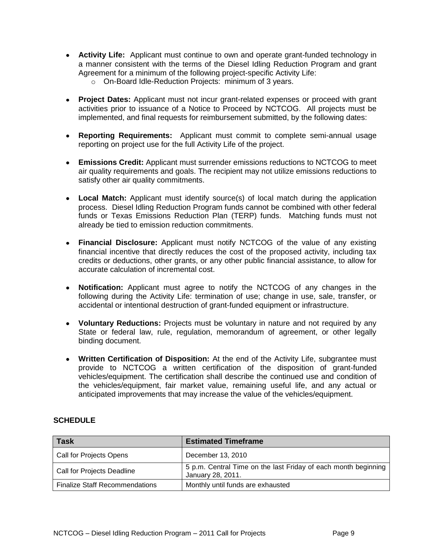- **Activity Life:** Applicant must continue to own and operate grant-funded technology in a manner consistent with the terms of the Diesel Idling Reduction Program and grant Agreement for a minimum of the following project-specific Activity Life:
	- o On-Board Idle-Reduction Projects: minimum of 3 years.
- $\bullet$ **Project Dates:** Applicant must not incur grant-related expenses or proceed with grant activities prior to issuance of a Notice to Proceed by NCTCOG. All projects must be implemented, and final requests for reimbursement submitted, by the following dates:
- **Reporting Requirements:** Applicant must commit to complete semi-annual usage  $\bullet$ reporting on project use for the full Activity Life of the project.
- $\bullet$ **Emissions Credit:** Applicant must surrender emissions reductions to NCTCOG to meet air quality requirements and goals. The recipient may not utilize emissions reductions to satisfy other air quality commitments.
- **Local Match:** Applicant must identify source(s) of local match during the application process. Diesel Idling Reduction Program funds cannot be combined with other federal funds or Texas Emissions Reduction Plan (TERP) funds. Matching funds must not already be tied to emission reduction commitments.
- **Financial Disclosure:** Applicant must notify NCTCOG of the value of any existing financial incentive that directly reduces the cost of the proposed activity, including tax credits or deductions, other grants, or any other public financial assistance, to allow for accurate calculation of incremental cost.
- **Notification:** Applicant must agree to notify the NCTCOG of any changes in the following during the Activity Life: termination of use; change in use, sale, transfer, or accidental or intentional destruction of grant-funded equipment or infrastructure.
- **Voluntary Reductions:** Projects must be voluntary in nature and not required by any  $\bullet$ State or federal law, rule, regulation, memorandum of agreement, or other legally binding document.
- **Written Certification of Disposition:** At the end of the Activity Life, subgrantee must provide to NCTCOG a written certification of the disposition of grant-funded vehicles/equipment. The certification shall describe the continued use and condition of the vehicles/equipment, fair market value, remaining useful life, and any actual or anticipated improvements that may increase the value of the vehicles/equipment.

# <span id="page-8-0"></span>**SCHEDULE**

| <b>Task</b>                           | <b>Estimated Timeframe</b>                                                          |
|---------------------------------------|-------------------------------------------------------------------------------------|
| Call for Projects Opens               | December 13, 2010                                                                   |
| Call for Projects Deadline            | 5 p.m. Central Time on the last Friday of each month beginning<br>January 28, 2011. |
| <b>Finalize Staff Recommendations</b> | Monthly until funds are exhausted                                                   |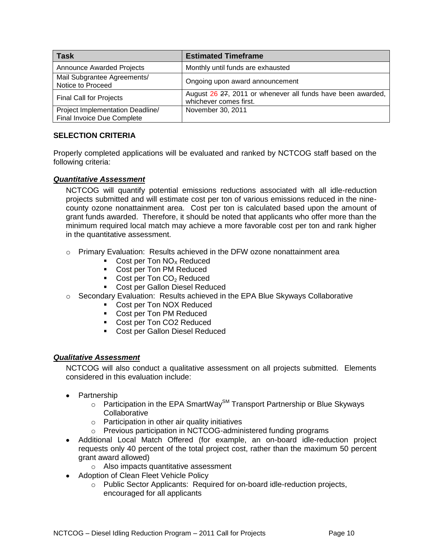| <b>Task</b>                                                           | <b>Estimated Timeframe</b>                                                            |
|-----------------------------------------------------------------------|---------------------------------------------------------------------------------------|
| Announce Awarded Projects                                             | Monthly until funds are exhausted                                                     |
| Mail Subgrantee Agreements/<br>Notice to Proceed                      | Ongoing upon award announcement                                                       |
| <b>Final Call for Projects</b>                                        | August 26 27, 2011 or whenever all funds have been awarded,<br>whichever comes first. |
| Project Implementation Deadline/<br><b>Final Invoice Due Complete</b> | November 30, 2011                                                                     |

# <span id="page-9-0"></span>**SELECTION CRITERIA**

Properly completed applications will be evaluated and ranked by NCTCOG staff based on the following criteria:

# <span id="page-9-1"></span>*Quantitative Assessment*

NCTCOG will quantify potential emissions reductions associated with all idle-reduction projects submitted and will estimate cost per ton of various emissions reduced in the ninecounty ozone nonattainment area. Cost per ton is calculated based upon the amount of grant funds awarded. Therefore, it should be noted that applicants who offer more than the minimum required local match may achieve a more favorable cost per ton and rank higher in the quantitative assessment.

- $\circ$  Primary Evaluation: Results achieved in the DFW ozone nonattainment area
	- Cost per Ton  $NO<sub>x</sub>$  Reduced
	- **Cost per Ton PM Reduced**
	- Cost per Ton  $CO<sub>2</sub>$  Reduced
	- **Cost per Gallon Diesel Reduced**
- o Secondary Evaluation: Results achieved in the EPA Blue Skyways Collaborative
	- **Cost per Ton NOX Reduced**
	- **Cost per Ton PM Reduced**
	- **Cost per Ton CO2 Reduced**
	- **Cost per Gallon Diesel Reduced**

#### <span id="page-9-2"></span>*Qualitative Assessment*

NCTCOG will also conduct a qualitative assessment on all projects submitted. Elements considered in this evaluation include:

- Partnership
	- $\circ$  Participation in the EPA SmartWay<sup>SM</sup> Transport Partnership or Blue Skyways **Collaborative**
	- o Participation in other air quality initiatives
	- o Previous participation in NCTCOG-administered funding programs
- Additional Local Match Offered (for example, an on-board idle-reduction project requests only 40 percent of the total project cost, rather than the maximum 50 percent grant award allowed)
	- o Also impacts quantitative assessment
- Adoption of Clean Fleet Vehicle Policy
	- o Public Sector Applicants: Required for on-board idle-reduction projects, encouraged for all applicants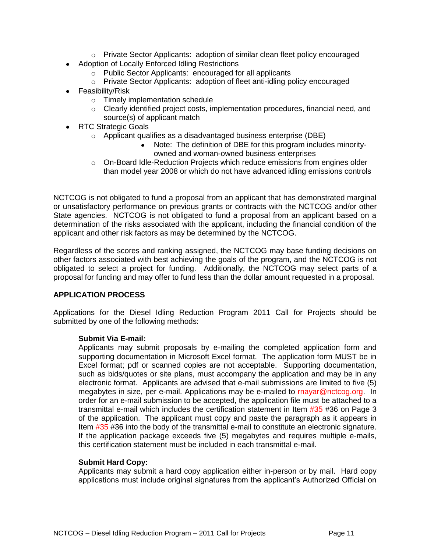- o Private Sector Applicants: adoption of similar clean fleet policy encouraged
- Adoption of Locally Enforced Idling Restrictions
	- o Public Sector Applicants: encouraged for all applicants
	- o Private Sector Applicants: adoption of fleet anti-idling policy encouraged
- Feasibility/Risk
	- o Timely implementation schedule
	- $\circ$  Clearly identified project costs, implementation procedures, financial need, and source(s) of applicant match
- RTC Strategic Goals
	- o Applicant qualifies as a disadvantaged business enterprise (DBE)
		- Note: The definition of DBE for this program includes minorityowned and woman-owned business enterprises
	- $\circ$  On-Board Idle-Reduction Projects which reduce emissions from engines older than model year 2008 or which do not have advanced idling emissions controls

NCTCOG is not obligated to fund a proposal from an applicant that has demonstrated marginal or unsatisfactory performance on previous grants or contracts with the NCTCOG and/or other State agencies. NCTCOG is not obligated to fund a proposal from an applicant based on a determination of the risks associated with the applicant, including the financial condition of the applicant and other risk factors as may be determined by the NCTCOG.

Regardless of the scores and ranking assigned, the NCTCOG may base funding decisions on other factors associated with best achieving the goals of the program, and the NCTCOG is not obligated to select a project for funding. Additionally, the NCTCOG may select parts of a proposal for funding and may offer to fund less than the dollar amount requested in a proposal.

# <span id="page-10-0"></span>**APPLICATION PROCESS**

Applications for the Diesel Idling Reduction Program 2011 Call for Projects should be submitted by one of the following methods:

# **Submit Via E-mail:**

Applicants may submit proposals by e-mailing the completed application form and supporting documentation in Microsoft Excel format. The application form MUST be in Excel format; pdf or scanned copies are not acceptable. Supporting documentation, such as bids/quotes or site plans, must accompany the application and may be in any electronic format. Applicants are advised that e-mail submissions are limited to five (5) megabytes in size, per e-mail. Applications may be e-mailed to [rnayar@nctcog.org.](mailto:lclark@nctcog.org) In order for an e-mail submission to be accepted, the application file must be attached to a transmittal e-mail which includes the certification statement in Item #35 #36 on Page 3 of the application. The applicant must copy and paste the paragraph as it appears in Item #35 #36 into the body of the transmittal e-mail to constitute an electronic signature. If the application package exceeds five (5) megabytes and requires multiple e-mails, this certification statement must be included in each transmittal e-mail.

#### **Submit Hard Copy:**

Applicants may submit a hard copy application either in-person or by mail. Hard copy applications must include original signatures from the applicant's Authorized Official on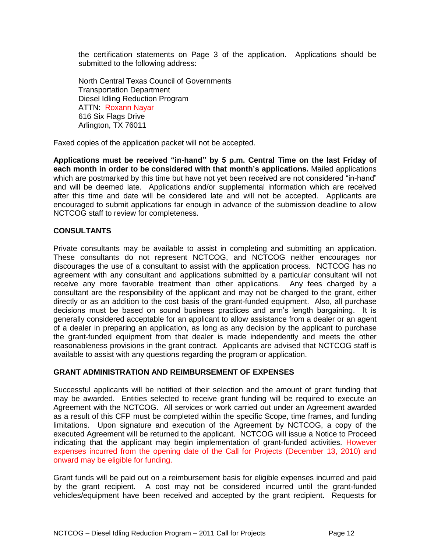the certification statements on Page 3 of the application. Applications should be submitted to the following address:

North Central Texas Council of Governments Transportation Department Diesel Idling Reduction Program ATTN: Roxann Nayar 616 Six Flags Drive Arlington, TX 76011

Faxed copies of the application packet will not be accepted.

**[Applications](http://www.nctcog.org/trans/clean/schoolbus/index.asp?) must be received "in-hand" by 5 p.m. Central Time on the last Friday of each month in order to be considered with that month's applications.** Mailed applications which are postmarked by this time but have not yet been received are not considered "in-hand" and will be deemed late. Applications and/or supplemental information which are received after this time and date will be considered late and will not be accepted. Applicants are encouraged to submit applications far enough in advance of the submission deadline to allow NCTCOG staff to review for completeness.

# <span id="page-11-0"></span>**CONSULTANTS**

Private consultants may be available to assist in completing and submitting an application. These consultants do not represent NCTCOG, and NCTCOG neither encourages nor discourages the use of a consultant to assist with the application process. NCTCOG has no agreement with any consultant and applications submitted by a particular consultant will not receive any more favorable treatment than other applications. Any fees charged by a consultant are the responsibility of the applicant and may not be charged to the grant, either directly or as an addition to the cost basis of the grant-funded equipment. Also, all purchase decisions must be based on sound business practices and arm's length bargaining. It is generally considered acceptable for an applicant to allow assistance from a dealer or an agent of a dealer in preparing an application, as long as any decision by the applicant to purchase the grant-funded equipment from that dealer is made independently and meets the other reasonableness provisions in the grant contract. Applicants are advised that NCTCOG staff is available to assist with any questions regarding the program or application.

# <span id="page-11-1"></span>**GRANT ADMINISTRATION AND REIMBURSEMENT OF EXPENSES**

Successful applicants will be notified of their selection and the amount of grant funding that may be awarded. Entities selected to receive grant funding will be required to execute an Agreement with the NCTCOG. All services or work carried out under an Agreement awarded as a result of this CFP must be completed within the specific Scope, time frames, and funding limitations. Upon signature and execution of the Agreement by NCTCOG, a copy of the executed Agreement will be returned to the applicant. NCTCOG will issue a Notice to Proceed indicating that the applicant may begin implementation of grant-funded activities. However expenses incurred from the opening date of the Call for Projects (December 13, 2010) and onward may be eligible for funding.

Grant funds will be paid out on a reimbursement basis for eligible expenses incurred and paid by the grant recipient. A cost may not be considered incurred until the grant-funded vehicles/equipment have been received and accepted by the grant recipient. Requests for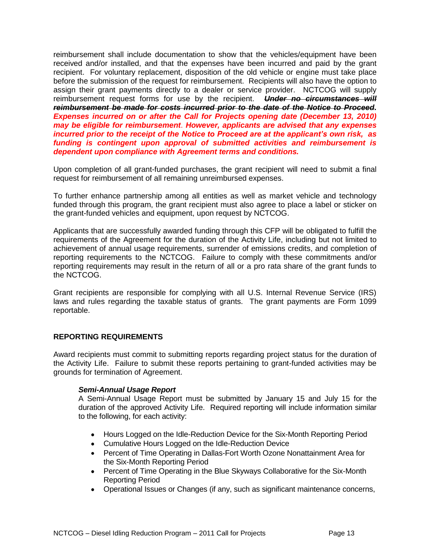reimbursement shall include documentation to show that the vehicles/equipment have been received and/or installed, and that the expenses have been incurred and paid by the grant recipient. For voluntary replacement, disposition of the old vehicle or engine must take place before the submission of the request for reimbursement. Recipients will also have the option to assign their grant payments directly to a dealer or service provider. NCTCOG will supply reimbursement request forms for use by the recipient. *Under no circumstances will reimbursement be made for costs incurred prior to the date of the Notice to Proceed. Expenses incurred on or after the Call for Projects opening date (December 13, 2010) may be eligible for reimbursement*. *However, applicants are advised that any expenses incurred prior to the receipt of the Notice to Proceed are at the applicant's own risk, as funding is contingent upon approval of submitted activities and reimbursement is dependent upon compliance with Agreement terms and conditions.* 

Upon completion of all grant-funded purchases, the grant recipient will need to submit a final request for reimbursement of all remaining unreimbursed expenses.

To further enhance partnership among all entities as well as market vehicle and technology funded through this program, the grant recipient must also agree to place a label or sticker on the grant-funded vehicles and equipment, upon request by NCTCOG.

Applicants that are successfully awarded funding through this CFP will be obligated to fulfill the requirements of the Agreement for the duration of the Activity Life, including but not limited to achievement of annual usage requirements, surrender of emissions credits, and completion of reporting requirements to the NCTCOG. Failure to comply with these commitments and/or reporting requirements may result in the return of all or a pro rata share of the grant funds to the NCTCOG.

Grant recipients are responsible for complying with all U.S. Internal Revenue Service (IRS) laws and rules regarding the taxable status of grants. The grant payments are Form 1099 reportable.

#### <span id="page-12-0"></span>**REPORTING REQUIREMENTS**

Award recipients must commit to submitting reports regarding project status for the duration of the Activity Life. Failure to submit these reports pertaining to grant-funded activities may be grounds for termination of Agreement.

#### *Semi-Annual Usage Report*

A Semi-Annual Usage Report must be submitted by January 15 and July 15 for the duration of the approved Activity Life. Required reporting will include information similar to the following, for each activity:

- Hours Logged on the Idle-Reduction Device for the Six-Month Reporting Period
- Cumulative Hours Logged on the Idle-Reduction Device
- Percent of Time Operating in Dallas-Fort Worth Ozone Nonattainment Area for  $\bullet$ the Six-Month Reporting Period
- Percent of Time Operating in the Blue Skyways Collaborative for the Six-Month Reporting Period
- Operational Issues or Changes (if any, such as significant maintenance concerns,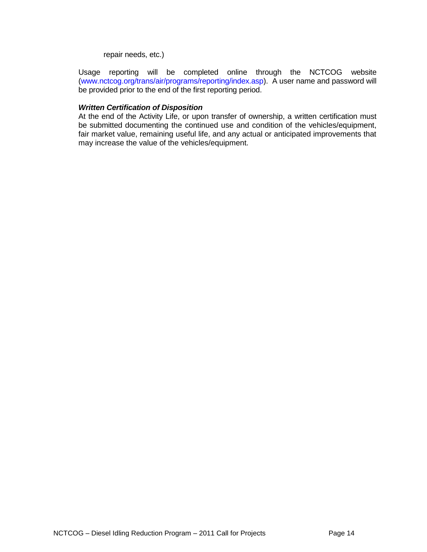repair needs, etc.)

Usage reporting will be completed online through the NCTCOG website [\(www.nctcog.org/trans/air/programs/reporting/index.asp\)](http://www.nctcog.org/trans/air/programs/reporting/index.asp). A user name and password will be provided prior to the end of the first reporting period.

#### *Written Certification of Disposition*

At the end of the Activity Life, or upon transfer of ownership, a written certification must be submitted documenting the continued use and condition of the vehicles/equipment, fair market value, remaining useful life, and any actual or anticipated improvements that may increase the value of the vehicles/equipment.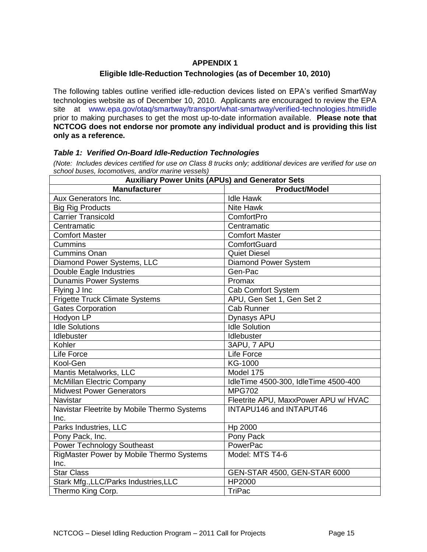# **APPENDIX 1**

# **Eligible Idle-Reduction Technologies (as of December 10, 2010)**

<span id="page-14-0"></span>The following tables outline verified idle-reduction devices listed on EPA's verified SmartWay technologies website as of December 10, 2010. Applicants are encouraged to review the EPA site at [www.epa.gov/otaq/smartway/transport/what-smartway/verified-technologies.htm#idle](http://www.epa.gov/otaq/smartway/transport/what-smartway/verified-technologies.htm#idle) prior to making purchases to get the most up-to-date information available. **Please note that NCTCOG does not endorse nor promote any individual product and is providing this list only as a reference.**

#### <span id="page-14-1"></span>*Table 1: Verified On-Board Idle-Reduction Technologies*

*(Note: Includes devices certified for use on Class 8 trucks only; additional devices are verified for use on school buses, locomotives, and/or marine vessels)*

| <b>Auxiliary Power Units (APUs) and Generator Sets</b> |                                      |  |
|--------------------------------------------------------|--------------------------------------|--|
| <b>Manufacturer</b>                                    | <b>Product/Model</b>                 |  |
| Aux Generators Inc.                                    | <b>Idle Hawk</b>                     |  |
| <b>Big Rig Products</b>                                | Nite Hawk                            |  |
| <b>Carrier Transicold</b>                              | ComfortPro                           |  |
| Centramatic                                            | Centramatic                          |  |
| <b>Comfort Master</b>                                  | <b>Comfort Master</b>                |  |
| <b>Cummins</b>                                         | ComfortGuard                         |  |
| <b>Cummins Onan</b>                                    | <b>Quiet Diesel</b>                  |  |
| Diamond Power Systems, LLC                             | <b>Diamond Power System</b>          |  |
| Double Eagle Industries                                | Gen-Pac                              |  |
| <b>Dunamis Power Systems</b>                           | Promax                               |  |
| Flying J Inc                                           | <b>Cab Comfort System</b>            |  |
| <b>Frigette Truck Climate Systems</b>                  | APU, Gen Set 1, Gen Set 2            |  |
| <b>Gates Corporation</b>                               | Cab Runner                           |  |
| Hodyon LP                                              | Dynasys APU                          |  |
| <b>Idle Solutions</b>                                  | <b>Idle Solution</b>                 |  |
| Idlebuster                                             | Idlebuster                           |  |
| Kohler                                                 | 3APU, 7 APU                          |  |
| Life Force                                             | Life Force                           |  |
| Kool-Gen                                               | KG-1000                              |  |
| Mantis Metalworks, LLC                                 | Model 175                            |  |
| <b>McMillan Electric Company</b>                       | IdleTime 4500-300, IdleTime 4500-400 |  |
| <b>Midwest Power Generators</b>                        | <b>MPG702</b>                        |  |
| Navistar                                               | Fleetrite APU, MaxxPower APU w/ HVAC |  |
| Navistar Fleetrite by Mobile Thermo Systems            | INTAPU146 and INTAPUT46              |  |
| Inc.                                                   |                                      |  |
| Parks Industries, LLC                                  | Hp 2000                              |  |
| Pony Pack, Inc.                                        | Pony Pack                            |  |
| <b>Power Technology Southeast</b>                      | PowerPac                             |  |
| RigMaster Power by Mobile Thermo Systems               | Model: MTS T4-6                      |  |
| Inc.                                                   |                                      |  |
| <b>Star Class</b>                                      | GEN-STAR 4500, GEN-STAR 6000         |  |
| Stark Mfg., LLC/Parks Industries, LLC                  | HP2000                               |  |
| Thermo King Corp.                                      | <b>TriPac</b>                        |  |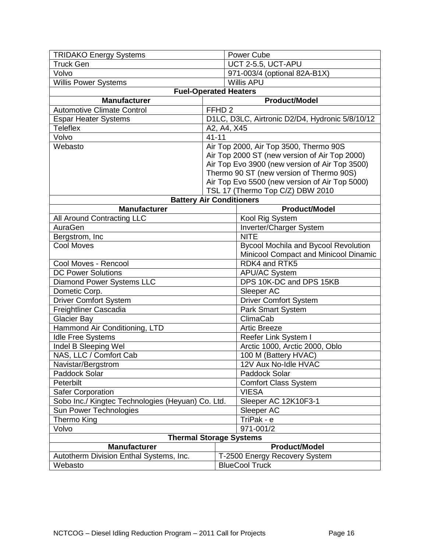| <b>TRIDAKO Energy Systems</b>                     |                               | Power Cube                                      |  |
|---------------------------------------------------|-------------------------------|-------------------------------------------------|--|
| <b>Truck Gen</b>                                  |                               | UCT 2-5.5, UCT-APU                              |  |
| Volvo                                             |                               | 971-003/4 (optional 82A-B1X)                    |  |
| <b>Willis Power Systems</b>                       |                               | <b>Willis APU</b>                               |  |
|                                                   |                               | <b>Fuel-Operated Heaters</b>                    |  |
| <b>Manufacturer</b>                               |                               | <b>Product/Model</b>                            |  |
| <b>Automotive Climate Control</b>                 |                               | FFHD <sub>2</sub>                               |  |
| <b>Espar Heater Systems</b>                       |                               | D1LC, D3LC, Airtronic D2/D4, Hydronic 5/8/10/12 |  |
| <b>Teleflex</b>                                   |                               | A2, A4, X45                                     |  |
| Volvo                                             | $41 - 11$                     |                                                 |  |
| Webasto                                           |                               | Air Top 2000, Air Top 3500, Thermo 90S          |  |
|                                                   |                               | Air Top 2000 ST (new version of Air Top 2000)   |  |
|                                                   |                               | Air Top Evo 3900 (new version of Air Top 3500)  |  |
|                                                   |                               | Thermo 90 ST (new version of Thermo 90S)        |  |
|                                                   |                               | Air Top Evo 5500 (new version of Air Top 5000)  |  |
|                                                   |                               | TSL 17 (Thermo Top C/Z) DBW 2010                |  |
|                                                   |                               | <b>Battery Air Conditioners</b>                 |  |
| <b>Manufacturer</b>                               |                               | <b>Product/Model</b>                            |  |
| All Around Contracting LLC                        |                               | Kool Rig System                                 |  |
| AuraGen                                           |                               | Inverter/Charger System                         |  |
| Bergstrom, Inc                                    |                               | <b>NITE</b>                                     |  |
| <b>Cool Moves</b>                                 |                               | <b>Bycool Mochila and Bycool Revolution</b>     |  |
|                                                   |                               | Minicool Compact and Minicool Dinamic           |  |
| Cool Moves - Rencool                              |                               | RDK4 and RTK5                                   |  |
| <b>DC Power Solutions</b>                         |                               | <b>APU/AC System</b>                            |  |
| Diamond Power Systems LLC                         |                               | DPS 10K-DC and DPS 15KB                         |  |
| Dometic Corp.                                     |                               | Sleeper AC                                      |  |
| Driver Comfort System                             |                               | <b>Driver Comfort System</b>                    |  |
| Freightliner Cascadia                             |                               | <b>Park Smart System</b>                        |  |
| <b>Glacier Bay</b>                                |                               | ClimaCab                                        |  |
| Hammond Air Conditioning, LTD                     |                               | <b>Artic Breeze</b>                             |  |
| <b>Idle Free Systems</b>                          |                               | Reefer Link System I                            |  |
| Indel B Sleeping Wel                              |                               | Arctic 1000, Arctic 2000, Oblo                  |  |
| NAS, LLC / Comfort Cab                            |                               | 100 M (Battery HVAC)                            |  |
| Navistar/Bergstrom                                |                               | 12V Aux No-Idle HVAC                            |  |
| Paddock Solar                                     |                               | Paddock Solar                                   |  |
| Peterbilt                                         |                               | <b>Comfort Class System</b>                     |  |
| <b>Safer Corporation</b>                          |                               | <b>VIESA</b>                                    |  |
| Sobo Inc./ Kingtec Technologies (Heyuan) Co. Ltd. |                               | Sleeper AC 12K10F3-1                            |  |
| <b>Sun Power Technologies</b>                     |                               | Sleeper AC                                      |  |
| Thermo King                                       |                               | TriPak - e                                      |  |
| Volvo                                             |                               | 971-001/2                                       |  |
| <b>Thermal Storage Systems</b>                    |                               |                                                 |  |
| <b>Product/Model</b><br><b>Manufacturer</b>       |                               |                                                 |  |
| Autotherm Division Enthal Systems, Inc.           | T-2500 Energy Recovery System |                                                 |  |
| Webasto                                           | <b>BlueCool Truck</b>         |                                                 |  |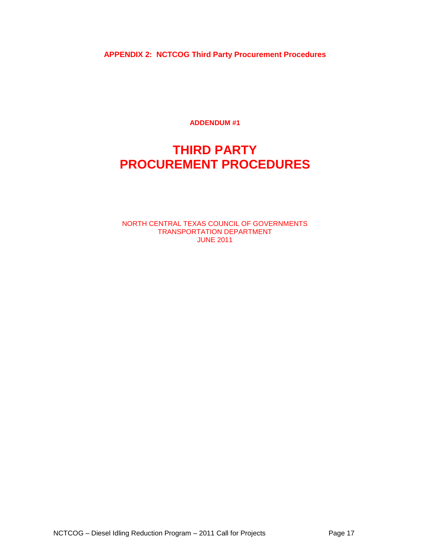<span id="page-16-0"></span>**APPENDIX 2: NCTCOG Third Party Procurement Procedures**

**ADDENDUM #1**

# **THIRD PARTY PROCUREMENT PROCEDURES**

NORTH CENTRAL TEXAS COUNCIL OF GOVERNMENTS TRANSPORTATION DEPARTMENT JUNE 2011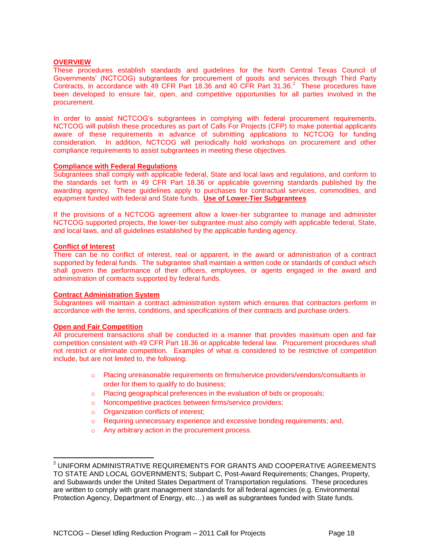#### **OVERVIEW**

These procedures establish standards and guidelines for the North Central Texas Council of Governments' (NCTCOG) subgrantees for procurement of goods and services through Third Party Contracts, in accordance with 49 CFR Part 18.36 and 40 CFR Part 31.36. $^2$  These procedures have been developed to ensure fair, open, and competitive opportunities for all parties involved in the procurement.

In order to assist NCTCOG's subgrantees in complying with federal procurement requirements, NCTCOG will publish these procedures as part of Calls For Projects (CFP) to make potential applicants aware of these requirements in advance of submitting applications to NCTCOG for funding consideration. In addition, NCTCOG will periodically hold workshops on procurement and other compliance requirements to assist subgrantees in meeting these objectives.

#### **Compliance with Federal Regulations**

Subgrantees shall comply with applicable federal, State and local laws and regulations, and conform to the standards set forth in 49 CFR Part 18.36 or applicable governing standards published by the awarding agency. These guidelines apply to purchases for contractual services, commodities, and equipment funded with federal and State funds. **Use of Lower-Tier Subgrantees**

If the provisions of a NCTCOG agreement allow a lower-tier subgrantee to manage and administer NCTCOG supported projects, the lower-tier subgrantee must also comply with applicable federal, State, and local laws, and all guidelines established by the applicable funding agency.

#### **Conflict of Interest**

There can be no conflict of interest, real or apparent, in the award or administration of a contract supported by federal funds. The subgrantee shall maintain a written code or standards of conduct which shall govern the performance of their officers, employees, or agents engaged in the award and administration of contracts supported by federal funds.

#### **Contract Administration System**

Subgrantees will maintain a contract administration system which ensures that contractors perform in accordance with the terms, conditions, and specifications of their contracts and purchase orders.

#### **Open and Fair Competition**

 $\overline{a}$ 

All procurement transactions shall be conducted in a manner that provides maximum open and fair competition consistent with 49 CFR Part 18.36 or applicable federal law. Procurement procedures shall not restrict or eliminate competition. Examples of what is considered to be restrictive of competition include, but are not limited to, the following:

- o Placing unreasonable requirements on firms/service providers/vendors/consultants in order for them to qualify to do business;
- $\circ$  Placing geographical preferences in the evaluation of bids or proposals;
- o Noncompetitive practices between firms/service providers;
- o Organization conflicts of interest;
- o Requiring unnecessary experience and excessive bonding requirements; and,
- o Any arbitrary action in the procurement process.

<sup>&</sup>lt;sup>2</sup> UNIFORM ADMINISTRATIVE REQUIREMENTS FOR GRANTS AND COOPERATIVE AGREEMENTS TO STATE AND LOCAL GOVERNMENTS; Subpart C, Post-Award Requirements; Changes, Property, and Subawards under the United States Department of Transportation regulations. These procedures are written to comply with grant management standards for all federal agencies (e.g. Environmental Protection Agency, Department of Energy, etc…) as well as subgrantees funded with State funds.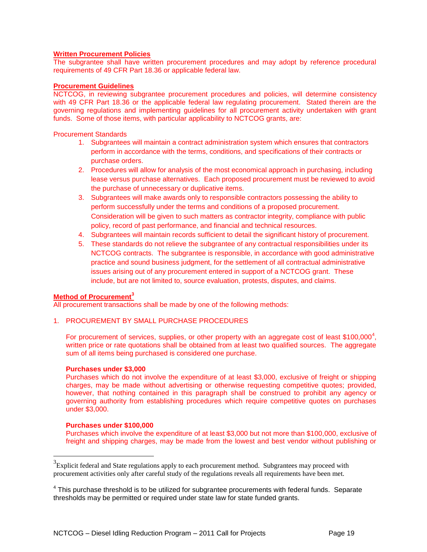#### **Written Procurement Policies**

The subgrantee shall have written procurement procedures and may adopt by reference procedural requirements of 49 CFR Part 18.36 or applicable federal law.

#### **Procurement Guidelines**

NCTCOG, in reviewing subgrantee procurement procedures and policies, will determine consistency with 49 CFR Part 18.36 or the applicable federal law regulating procurement. Stated therein are the governing regulations and implementing guidelines for all procurement activity undertaken with grant funds. Some of those items, with particular applicability to NCTCOG grants, are:

Procurement Standards

- 1. Subgrantees will maintain a contract administration system which ensures that contractors perform in accordance with the terms, conditions, and specifications of their contracts or purchase orders.
- 2. Procedures will allow for analysis of the most economical approach in purchasing, including lease versus purchase alternatives. Each proposed procurement must be reviewed to avoid the purchase of unnecessary or duplicative items.
- 3. Subgrantees will make awards only to responsible contractors possessing the ability to perform successfully under the terms and conditions of a proposed procurement. Consideration will be given to such matters as contractor integrity, compliance with public policy, record of past performance, and financial and technical resources.
- 4. Subgrantees will maintain records sufficient to detail the significant history of procurement.
- 5. These standards do not relieve the subgrantee of any contractual responsibilities under its NCTCOG contracts. The subgrantee is responsible, in accordance with good administrative practice and sound business judgment, for the settlement of all contractual administrative issues arising out of any procurement entered in support of a NCTCOG grant. These include, but are not limited to, source evaluation, protests, disputes, and claims.

#### **Method of Procurement<sup>3</sup>**

All procurement transactions shall be made by one of the following methods:

1. PROCUREMENT BY SMALL PURCHASE PROCEDURES

For procurement of services, supplies, or other property with an aggregate cost of least \$100,000<sup>4</sup>, written price or rate quotations shall be obtained from at least two qualified sources. The aggregate sum of all items being purchased is considered one purchase.

#### **Purchases under \$3,000**

Purchases which do not involve the expenditure of at least \$3,000, exclusive of freight or shipping charges, may be made without advertising or otherwise requesting competitive quotes; provided, however, that nothing contained in this paragraph shall be construed to prohibit any agency or governing authority from establishing procedures which require competitive quotes on purchases under \$3,000.

#### **Purchases under \$100,000**

 $\overline{a}$ 

Purchases which involve the expenditure of at least \$3,000 but not more than \$100,000, exclusive of freight and shipping charges, may be made from the lowest and best vendor without publishing or

 $3$  Explicit federal and State regulations apply to each procurement method. Subgrantees may proceed with procurement activities only after careful study of the regulations reveals all requirements have been met.

 $4$  This purchase threshold is to be utilized for subgrantee procurements with federal funds. Separate thresholds may be permitted or required under state law for state funded grants.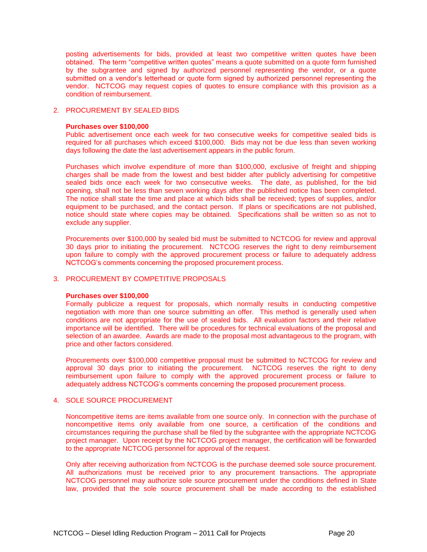posting advertisements for bids, provided at least two competitive written quotes have been obtained. The term "competitive written quotes" means a quote submitted on a quote form furnished by the subgrantee and signed by authorized personnel representing the vendor, or a quote submitted on a vendor's letterhead or quote form signed by authorized personnel representing the vendor. NCTCOG may request copies of quotes to ensure compliance with this provision as a condition of reimbursement.

#### 2. PROCUREMENT BY SEALED BIDS

#### **Purchases over \$100,000**

Public advertisement once each week for two consecutive weeks for competitive sealed bids is required for all purchases which exceed \$100,000. Bids may not be due less than seven working days following the date the last advertisement appears in the public forum.

Purchases which involve expenditure of more than \$100,000, exclusive of freight and shipping charges shall be made from the lowest and best bidder after publicly advertising for competitive sealed bids once each week for two consecutive weeks. The date, as published, for the bid opening, shall not be less than seven working days after the published notice has been completed. The notice shall state the time and place at which bids shall be received; types of supplies, and/or equipment to be purchased, and the contact person. If plans or specifications are not published, notice should state where copies may be obtained. Specifications shall be written so as not to exclude any supplier.

Procurements over \$100,000 by sealed bid must be submitted to NCTCOG for review and approval 30 days prior to initiating the procurement. NCTCOG reserves the right to deny reimbursement upon failure to comply with the approved procurement process or failure to adequately address NCTCOG's comments concerning the proposed procurement process.

#### 3. PROCUREMENT BY COMPETITIVE PROPOSALS

#### **Purchases over \$100,000**

Formally publicize a request for proposals, which normally results in conducting competitive negotiation with more than one source submitting an offer. This method is generally used when conditions are not appropriate for the use of sealed bids. All evaluation factors and their relative importance will be identified. There will be procedures for technical evaluations of the proposal and selection of an awardee. Awards are made to the proposal most advantageous to the program, with price and other factors considered.

Procurements over \$100,000 competitive proposal must be submitted to NCTCOG for review and approval 30 days prior to initiating the procurement. NCTCOG reserves the right to deny reimbursement upon failure to comply with the approved procurement process or failure to adequately address NCTCOG's comments concerning the proposed procurement process.

#### 4. SOLE SOURCE PROCUREMENT

Noncompetitive items are items available from one source only. In connection with the purchase of noncompetitive items only available from one source, a certification of the conditions and circumstances requiring the purchase shall be filed by the subgrantee with the appropriate NCTCOG project manager. Upon receipt by the NCTCOG project manager, the certification will be forwarded to the appropriate NCTCOG personnel for approval of the request.

Only after receiving authorization from NCTCOG is the purchase deemed sole source procurement. All authorizations must be received prior to any procurement transactions. The appropriate NCTCOG personnel may authorize sole source procurement under the conditions defined in State law, provided that the sole source procurement shall be made according to the established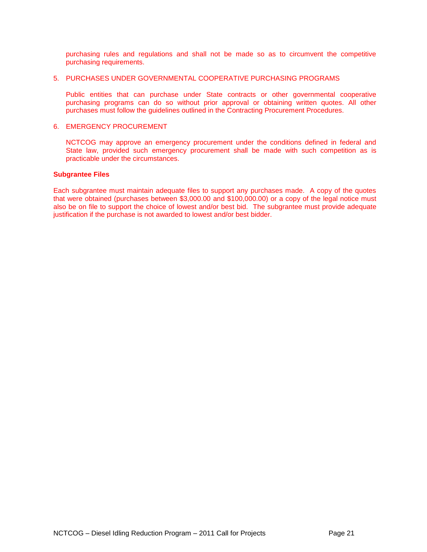purchasing rules and regulations and shall not be made so as to circumvent the competitive purchasing requirements.

#### 5. PURCHASES UNDER GOVERNMENTAL COOPERATIVE PURCHASING PROGRAMS

Public entities that can purchase under State contracts or other governmental cooperative purchasing programs can do so without prior approval or obtaining written quotes. All other purchases must follow the guidelines outlined in the Contracting Procurement Procedures.

#### 6. EMERGENCY PROCUREMENT

NCTCOG may approve an emergency procurement under the conditions defined in federal and State law, provided such emergency procurement shall be made with such competition as is practicable under the circumstances.

#### **Subgrantee Files**

Each subgrantee must maintain adequate files to support any purchases made. A copy of the quotes that were obtained (purchases between \$3,000.00 and \$100,000.00) or a copy of the legal notice must also be on file to support the choice of lowest and/or best bid. The subgrantee must provide adequate justification if the purchase is not awarded to lowest and/or best bidder.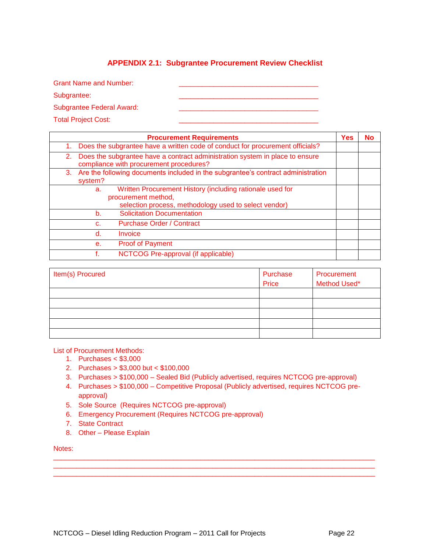# **APPENDIX 2.1: Subgrantee Procurement Review Checklist**

<span id="page-21-0"></span>Grant Name and Number: Subgrantee: Subgrantee Federal Award:

Total Project Cost:

| <b>Procurement Requirements</b>                                                                                                                 | <b>Yes</b> | No |
|-------------------------------------------------------------------------------------------------------------------------------------------------|------------|----|
| Does the subgrantee have a written code of conduct for procurement officials?<br>1.                                                             |            |    |
| Does the subgrantee have a contract administration system in place to ensure<br>2.<br>compliance with procurement procedures?                   |            |    |
| Are the following documents included in the subgrantee's contract administration<br>3.<br>system?                                               |            |    |
| Written Procurement History (including rationale used for<br>a.<br>procurement method,<br>selection process, methodology used to select vendor) |            |    |
| <b>Solicitation Documentation</b><br>b.                                                                                                         |            |    |
| <b>Purchase Order / Contract</b><br>C.                                                                                                          |            |    |
| d.<br>Invoice                                                                                                                                   |            |    |
| <b>Proof of Payment</b><br>e <sub>1</sub>                                                                                                       |            |    |
| NCTCOG Pre-approval (if applicable)                                                                                                             |            |    |

| Item(s) Procured | Purchase | Procurement  |
|------------------|----------|--------------|
|                  | Price    | Method Used* |
|                  |          |              |
|                  |          |              |
|                  |          |              |
|                  |          |              |
|                  |          |              |

List of Procurement Methods:

- 1. Purchases < \$3,000
- 2. Purchases > \$3,000 but < \$100,000
- 3. Purchases > \$100,000 Sealed Bid (Publicly advertised, requires NCTCOG pre-approval)
- 4. Purchases > \$100,000 Competitive Proposal (Publicly advertised, requires NCTCOG preapproval)

\_\_\_\_\_\_\_\_\_\_\_\_\_\_\_\_\_\_\_\_\_\_\_\_\_\_\_\_\_\_\_\_\_\_\_\_\_\_\_\_\_\_\_\_\_\_\_\_\_\_\_\_\_\_\_\_\_\_\_\_\_\_\_\_\_\_\_\_\_\_\_\_\_\_\_\_\_\_\_\_\_\_\_ \_\_\_\_\_\_\_\_\_\_\_\_\_\_\_\_\_\_\_\_\_\_\_\_\_\_\_\_\_\_\_\_\_\_\_\_\_\_\_\_\_\_\_\_\_\_\_\_\_\_\_\_\_\_\_\_\_\_\_\_\_\_\_\_\_\_\_\_\_\_\_\_\_\_\_\_\_\_\_\_\_\_\_ \_\_\_\_\_\_\_\_\_\_\_\_\_\_\_\_\_\_\_\_\_\_\_\_\_\_\_\_\_\_\_\_\_\_\_\_\_\_\_\_\_\_\_\_\_\_\_\_\_\_\_\_\_\_\_\_\_\_\_\_\_\_\_\_\_\_\_\_\_\_\_\_\_\_\_\_\_\_\_\_\_\_\_

- 5. Sole Source (Requires NCTCOG pre-approval)
- 6. Emergency Procurement (Requires NCTCOG pre-approval)
- 7. State Contract
- 8. Other Please Explain

Notes: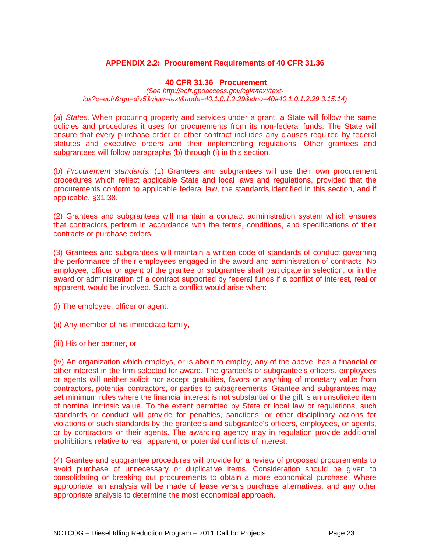# **APPENDIX 2.2: Procurement Requirements of 40 CFR 31.36**

#### **40 CFR 31.36 Procurement**

#### <span id="page-22-0"></span>*(See [http://ecfr.gpoaccess.gov/cgi/t/text/text](http://ecfr.gpoaccess.gov/cgi/t/text/text-idx?c=ecfr&rgn=div5&view=text&node=40:1.0.1.2.29&idno=40#40:1.0.1.2.29.3.15.14)[idx?c=ecfr&rgn=div5&view=text&node=40:1.0.1.2.29&idno=40#40:1.0.1.2.29.3.15.14\)](http://ecfr.gpoaccess.gov/cgi/t/text/text-idx?c=ecfr&rgn=div5&view=text&node=40:1.0.1.2.29&idno=40#40:1.0.1.2.29.3.15.14)*

(a) *States.* When procuring property and services under a grant, a State will follow the same policies and procedures it uses for procurements from its non-federal funds. The State will ensure that every purchase order or other contract includes any clauses required by federal statutes and executive orders and their implementing regulations. Other grantees and subgrantees will follow paragraphs (b) through (i) in this section.

(b) *Procurement standards.* (1) Grantees and subgrantees will use their own procurement procedures which reflect applicable State and local laws and regulations, provided that the procurements conform to applicable federal law, the standards identified in this section, and if applicable, §31.38.

(2) Grantees and subgrantees will maintain a contract administration system which ensures that contractors perform in accordance with the terms, conditions, and specifications of their contracts or purchase orders.

(3) Grantees and subgrantees will maintain a written code of standards of conduct governing the performance of their employees engaged in the award and administration of contracts. No employee, officer or agent of the grantee or subgrantee shall participate in selection, or in the award or administration of a contract supported by federal funds if a conflict of interest, real or apparent, would be involved. Such a conflict would arise when:

(i) The employee, officer or agent,

(ii) Any member of his immediate family,

(iii) His or her partner, or

(iv) An organization which employs, or is about to employ, any of the above, has a financial or other interest in the firm selected for award. The grantee's or subgrantee's officers, employees or agents will neither solicit nor accept gratuities, favors or anything of monetary value from contractors, potential contractors, or parties to subagreements. Grantee and subgrantees may set minimum rules where the financial interest is not substantial or the gift is an unsolicited item of nominal intrinsic value. To the extent permitted by State or local law or regulations, such standards or conduct will provide for penalties, sanctions, or other disciplinary actions for violations of such standards by the grantee's and subgrantee's officers, employees, or agents, or by contractors or their agents. The awarding agency may in regulation provide additional prohibitions relative to real, apparent, or potential conflicts of interest.

(4) Grantee and subgrantee procedures will provide for a review of proposed procurements to avoid purchase of unnecessary or duplicative items. Consideration should be given to consolidating or breaking out procurements to obtain a more economical purchase. Where appropriate, an analysis will be made of lease versus purchase alternatives, and any other appropriate analysis to determine the most economical approach.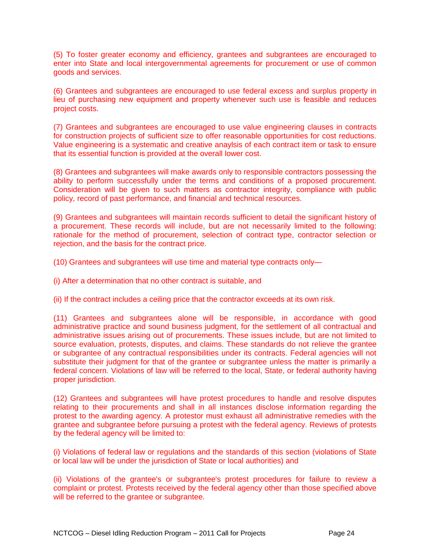(5) To foster greater economy and efficiency, grantees and subgrantees are encouraged to enter into State and local intergovernmental agreements for procurement or use of common goods and services.

(6) Grantees and subgrantees are encouraged to use federal excess and surplus property in lieu of purchasing new equipment and property whenever such use is feasible and reduces project costs.

(7) Grantees and subgrantees are encouraged to use value engineering clauses in contracts for construction projects of sufficient size to offer reasonable opportunities for cost reductions. Value engineering is a systematic and creative anaylsis of each contract item or task to ensure that its essential function is provided at the overall lower cost.

(8) Grantees and subgrantees will make awards only to responsible contractors possessing the ability to perform successfully under the terms and conditions of a proposed procurement. Consideration will be given to such matters as contractor integrity, compliance with public policy, record of past performance, and financial and technical resources.

(9) Grantees and subgrantees will maintain records sufficient to detail the significant history of a procurement. These records will include, but are not necessarily limited to the following: rationale for the method of procurement, selection of contract type, contractor selection or rejection, and the basis for the contract price.

(10) Grantees and subgrantees will use time and material type contracts only—

(i) After a determination that no other contract is suitable, and

(ii) If the contract includes a ceiling price that the contractor exceeds at its own risk.

(11) Grantees and subgrantees alone will be responsible, in accordance with good administrative practice and sound business judgment, for the settlement of all contractual and administrative issues arising out of procurements. These issues include, but are not limited to source evaluation, protests, disputes, and claims. These standards do not relieve the grantee or subgrantee of any contractual responsibilities under its contracts. Federal agencies will not substitute their judgment for that of the grantee or subgrantee unless the matter is primarily a federal concern. Violations of law will be referred to the local, State, or federal authority having proper jurisdiction.

(12) Grantees and subgrantees will have protest procedures to handle and resolve disputes relating to their procurements and shall in all instances disclose information regarding the protest to the awarding agency. A protestor must exhaust all administrative remedies with the grantee and subgrantee before pursuing a protest with the federal agency. Reviews of protests by the federal agency will be limited to:

(i) Violations of federal law or regulations and the standards of this section (violations of State or local law will be under the jurisdiction of State or local authorities) and

(ii) Violations of the grantee's or subgrantee's protest procedures for failure to review a complaint or protest. Protests received by the federal agency other than those specified above will be referred to the grantee or subgrantee.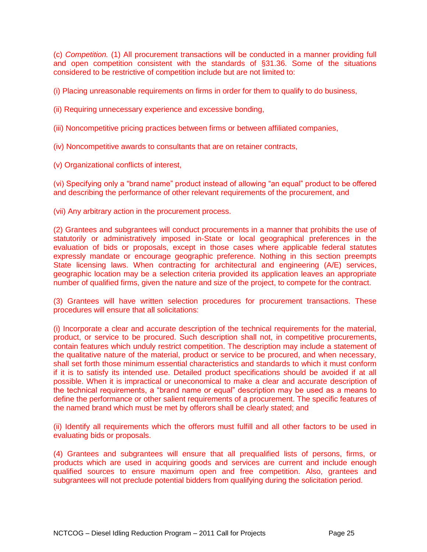(c) *Competition.* (1) All procurement transactions will be conducted in a manner providing full and open competition consistent with the standards of §31.36. Some of the situations considered to be restrictive of competition include but are not limited to:

(i) Placing unreasonable requirements on firms in order for them to qualify to do business,

(ii) Requiring unnecessary experience and excessive bonding,

(iii) Noncompetitive pricing practices between firms or between affiliated companies,

(iv) Noncompetitive awards to consultants that are on retainer contracts,

(v) Organizational conflicts of interest,

(vi) Specifying only a "brand name" product instead of allowing "an equal" product to be offered and describing the performance of other relevant requirements of the procurement, and

(vii) Any arbitrary action in the procurement process.

(2) Grantees and subgrantees will conduct procurements in a manner that prohibits the use of statutorily or administratively imposed in-State or local geographical preferences in the evaluation of bids or proposals, except in those cases where applicable federal statutes expressly mandate or encourage geographic preference. Nothing in this section preempts State licensing laws. When contracting for architectural and engineering (A/E) services, geographic location may be a selection criteria provided its application leaves an appropriate number of qualified firms, given the nature and size of the project, to compete for the contract.

(3) Grantees will have written selection procedures for procurement transactions. These procedures will ensure that all solicitations:

(i) Incorporate a clear and accurate description of the technical requirements for the material, product, or service to be procured. Such description shall not, in competitive procurements, contain features which unduly restrict competition. The description may include a statement of the qualitative nature of the material, product or service to be procured, and when necessary, shall set forth those minimum essential characteristics and standards to which it must conform if it is to satisfy its intended use. Detailed product specifications should be avoided if at all possible. When it is impractical or uneconomical to make a clear and accurate description of the technical requirements, a "brand name or equal" description may be used as a means to define the performance or other salient requirements of a procurement. The specific features of the named brand which must be met by offerors shall be clearly stated; and

(ii) Identify all requirements which the offerors must fulfill and all other factors to be used in evaluating bids or proposals.

(4) Grantees and subgrantees will ensure that all prequalified lists of persons, firms, or products which are used in acquiring goods and services are current and include enough qualified sources to ensure maximum open and free competition. Also, grantees and subgrantees will not preclude potential bidders from qualifying during the solicitation period.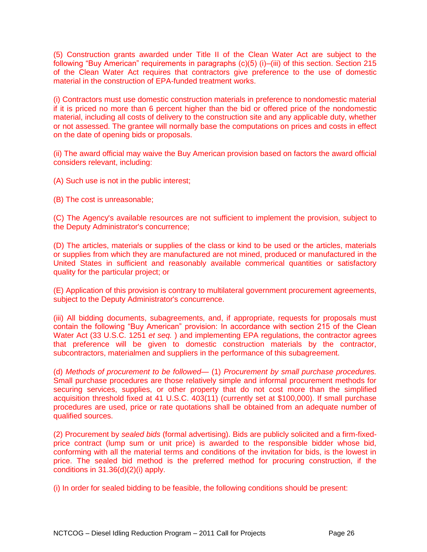(5) Construction grants awarded under Title II of the Clean Water Act are subject to the following "Buy American" requirements in paragraphs (c)(5) (i)–(iii) of this section. Section 215 of the Clean Water Act requires that contractors give preference to the use of domestic material in the construction of EPA-funded treatment works.

(i) Contractors must use domestic construction materials in preference to nondomestic material if it is priced no more than 6 percent higher than the bid or offered price of the nondomestic material, including all costs of delivery to the construction site and any applicable duty, whether or not assessed. The grantee will normally base the computations on prices and costs in effect on the date of opening bids or proposals.

(ii) The award official may waive the Buy American provision based on factors the award official considers relevant, including:

- (A) Such use is not in the public interest;
- (B) The cost is unreasonable;

(C) The Agency's available resources are not sufficient to implement the provision, subject to the Deputy Administrator's concurrence;

(D) The articles, materials or supplies of the class or kind to be used or the articles, materials or supplies from which they are manufactured are not mined, produced or manufactured in the United States in sufficient and reasonably available commerical quantities or satisfactory quality for the particular project; or

(E) Application of this provision is contrary to multilateral government procurement agreements, subject to the Deputy Administrator's concurrence.

(iii) All bidding documents, subagreements, and, if appropriate, requests for proposals must contain the following "Buy American" provision: In accordance with section 215 of the Clean Water Act (33 U.S.C. 1251 *et seq.* ) and implementing EPA regulations, the contractor agrees that preference will be given to domestic construction materials by the contractor, subcontractors, materialmen and suppliers in the performance of this subagreement.

(d) *Methods of procurement to be followed—* (1) *Procurement by small purchase procedures.*  Small purchase procedures are those relatively simple and informal procurement methods for securing services, supplies, or other property that do not cost more than the simplified acquisition threshold fixed at 41 U.S.C. 403(11) (currently set at \$100,000). If small purchase procedures are used, price or rate quotations shall be obtained from an adequate number of qualified sources.

(2) Procurement by *sealed bids* (formal advertising). Bids are publicly solicited and a firm-fixedprice contract (lump sum or unit price) is awarded to the responsible bidder whose bid, conforming with all the material terms and conditions of the invitation for bids, is the lowest in price. The sealed bid method is the preferred method for procuring construction, if the conditions in 31.36(d)(2)(i) apply.

(i) In order for sealed bidding to be feasible, the following conditions should be present: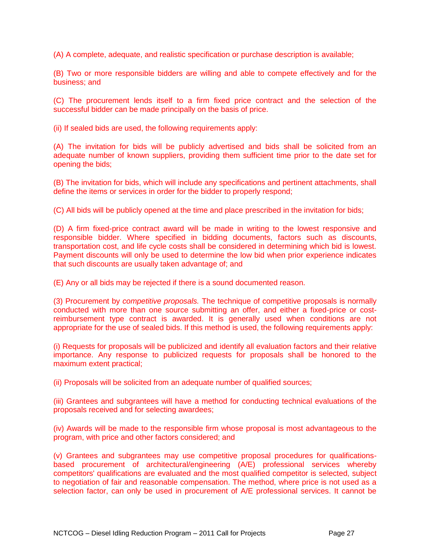(A) A complete, adequate, and realistic specification or purchase description is available;

(B) Two or more responsible bidders are willing and able to compete effectively and for the business; and

(C) The procurement lends itself to a firm fixed price contract and the selection of the successful bidder can be made principally on the basis of price.

(ii) If sealed bids are used, the following requirements apply:

(A) The invitation for bids will be publicly advertised and bids shall be solicited from an adequate number of known suppliers, providing them sufficient time prior to the date set for opening the bids;

(B) The invitation for bids, which will include any specifications and pertinent attachments, shall define the items or services in order for the bidder to properly respond;

(C) All bids will be publicly opened at the time and place prescribed in the invitation for bids;

(D) A firm fixed-price contract award will be made in writing to the lowest responsive and responsible bidder. Where specified in bidding documents, factors such as discounts, transportation cost, and life cycle costs shall be considered in determining which bid is lowest. Payment discounts will only be used to determine the low bid when prior experience indicates that such discounts are usually taken advantage of; and

(E) Any or all bids may be rejected if there is a sound documented reason.

(3) Procurement by *competitive proposals.* The technique of competitive proposals is normally conducted with more than one source submitting an offer, and either a fixed-price or costreimbursement type contract is awarded. It is generally used when conditions are not appropriate for the use of sealed bids. If this method is used, the following requirements apply:

(i) Requests for proposals will be publicized and identify all evaluation factors and their relative importance. Any response to publicized requests for proposals shall be honored to the maximum extent practical;

(ii) Proposals will be solicited from an adequate number of qualified sources;

(iii) Grantees and subgrantees will have a method for conducting technical evaluations of the proposals received and for selecting awardees;

(iv) Awards will be made to the responsible firm whose proposal is most advantageous to the program, with price and other factors considered; and

(v) Grantees and subgrantees may use competitive proposal procedures for qualificationsbased procurement of architectural/engineering (A/E) professional services whereby competitors' qualifications are evaluated and the most qualified competitor is selected, subject to negotiation of fair and reasonable compensation. The method, where price is not used as a selection factor, can only be used in procurement of A/E professional services. It cannot be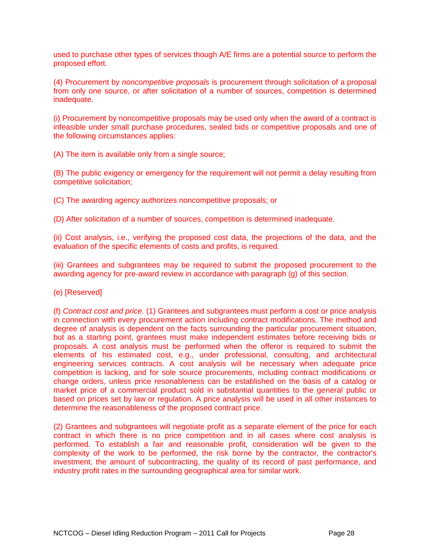used to purchase other types of services though A/E firms are a potential source to perform the proposed effort.

(4) Procurement by *noncompetitive proposals* is procurement through solicitation of a proposal from only one source, or after solicitation of a number of sources, competition is determined inadequate.

(i) Procurement by noncompetitive proposals may be used only when the award of a contract is infeasible under small purchase procedures, sealed bids or competitive proposals and one of the following circumstances applies:

(A) The item is available only from a single source;

(B) The public exigency or emergency for the requirement will not permit a delay resulting from competitive solicitation;

(C) The awarding agency authorizes noncompetitive proposals; or

(D) After solicitation of a number of sources, competition is determined inadequate.

(ii) Cost analysis, i.e., verifying the proposed cost data, the projections of the data, and the evaluation of the specific elements of costs and profits, is required.

(iii) Grantees and subgrantees may be required to submit the proposed procurement to the awarding agency for pre-award review in accordance with paragraph (g) of this section.

(e) [Reserved]

(f) *Contract cost and price.* (1) Grantees and subgrantees must perform a cost or price analysis in connection with every procurement action including contract modifications. The method and degree of analysis is dependent on the facts surrounding the particular procurement situation, but as a starting point, grantees must make independent estimates before receiving bids or proposals. A cost analysis must be performed when the offeror is required to submit the elements of his estimated cost, e.g., under professional, consulting, and architectural engineering services contracts. A cost analysis will be necessary when adequate price competition is lacking, and for sole source procurements, including contract modifications or change orders, unless price resonableness can be established on the basis of a catalog or market price of a commercial product sold in substantial quantities to the general public or based on prices set by law or regulation. A price analysis will be used in all other instances to determine the reasonableness of the proposed contract price.

(2) Grantees and subgrantees will negotiate profit as a separate element of the price for each contract in which there is no price competition and in all cases where cost analysis is performed. To establish a fair and reasonable profit, consideration will be given to the complexity of the work to be performed, the risk borne by the contractor, the contractor's investment, the amount of subcontracting, the quality of its record of past performance, and industry profit rates in the surrounding geographical area for similar work.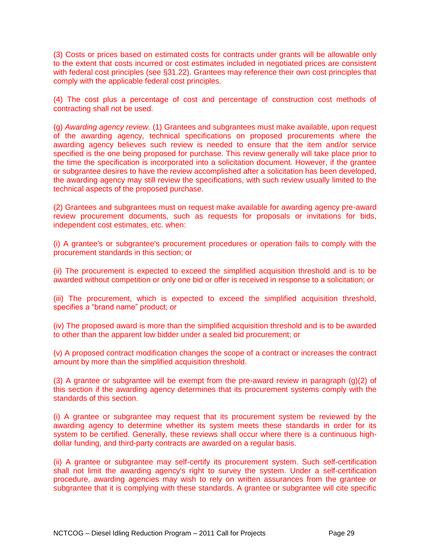(3) Costs or prices based on estimated costs for contracts under grants will be allowable only to the extent that costs incurred or cost estimates included in negotiated prices are consistent with federal cost principles (see §31.22). Grantees may reference their own cost principles that comply with the applicable federal cost principles.

(4) The cost plus a percentage of cost and percentage of construction cost methods of contracting shall not be used.

(g) *Awarding agency review.* (1) Grantees and subgrantees must make available, upon request of the awarding agency, technical specifications on proposed procurements where the awarding agency believes such review is needed to ensure that the item and/or service specified is the one being proposed for purchase. This review generally will take place prior to the time the specification is incorporated into a solicitation document. However, if the grantee or subgrantee desires to have the review accomplished after a solicitation has been developed, the awarding agency may still review the specifications, with such review usually limited to the technical aspects of the proposed purchase.

(2) Grantees and subgrantees must on request make available for awarding agency pre-award review procurement documents, such as requests for proposals or invitations for bids, independent cost estimates, etc. when:

(i) A grantee's or subgrantee's procurement procedures or operation fails to comply with the procurement standards in this section; or

(ii) The procurement is expected to exceed the simplified acquisition threshold and is to be awarded without competition or only one bid or offer is received in response to a solicitation; or

(iii) The procurement, which is expected to exceed the simplified acquisition threshold, specifies a "brand name" product; or

(iv) The proposed award is more than the simplified acquisition threshold and is to be awarded to other than the apparent low bidder under a sealed bid procurement; or

(v) A proposed contract modification changes the scope of a contract or increases the contract amount by more than the simplified acquisition threshold.

(3) A grantee or subgrantee will be exempt from the pre-award review in paragraph (g)(2) of this section if the awarding agency determines that its procurement systems comply with the standards of this section.

(i) A grantee or subgrantee may request that its procurement system be reviewed by the awarding agency to determine whether its system meets these standards in order for its system to be certified. Generally, these reviews shall occur where there is a continuous highdollar funding, and third-party contracts are awarded on a regular basis.

(ii) A grantee or subgrantee may self-certify its procurement system. Such self-certification shall not limit the awarding agency's right to survey the system. Under a self-certification procedure, awarding agencies may wish to rely on written assurances from the grantee or subgrantee that it is complying with these standards. A grantee or subgrantee will cite specific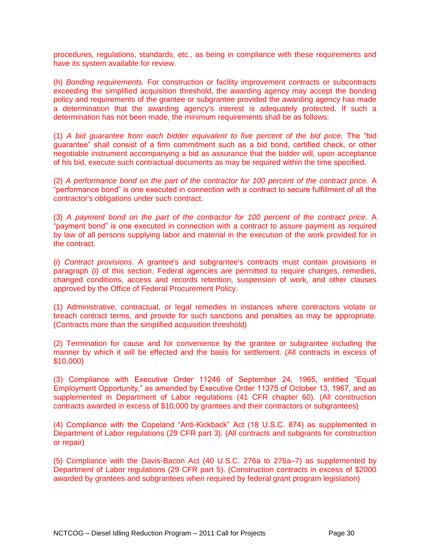procedures, regulations, standards, etc., as being in compliance with these requirements and have its system available for review.

(h) *Bonding requirements.* For construction or facility improvement contracts or subcontracts exceeding the simplified acquisition threshold, the awarding agency may accept the bonding policy and requirements of the grantee or subgrantee provided the awarding agency has made a determination that the awarding agency's interest is adequately protected. If such a determination has not been made, the minimum requirements shall be as follows:

(1) *A bid guarantee from each bidder equivalent to five percent of the bid price.* The "bid guarantee‖ shall consist of a firm commitment such as a bid bond, certified check, or other negotiable instrument accompanying a bid as assurance that the bidder will, upon acceptance of his bid, execute such contractual documents as may be required within the time specified.

(2) *A performance bond on the part of the contractor for 100 percent of the contract price.* A "performance bond" is one executed in connection with a contract to secure fulfillment of all the contractor's obligations under such contract.

(3) *A payment bond on the part of the contractor for 100 percent of the contract price.* A ―payment bond‖ is one executed in connection with a contract to assure payment as required by law of all persons supplying labor and material in the execution of the work provided for in the contract.

(i) *Contract provisions.* A grantee's and subgrantee's contracts must contain provisions in paragraph (i) of this section. Federal agencies are permitted to require changes, remedies, changed conditions, access and records retention, suspension of work, and other clauses approved by the Office of Federal Procurement Policy.

(1) Administrative, contractual, or legal remedies in instances where contractors violate or breach contract terms, and provide for such sanctions and penalties as may be appropriate. (Contracts more than the simplified acquisition threshold)

(2) Termination for cause and for convenience by the grantee or subgrantee including the manner by which it will be effected and the basis for settlement. (All contracts in excess of \$10,000)

(3) Compliance with Executive Order 11246 of September 24, 1965, entitled "Equal Employment Opportunity," as amended by Executive Order 11375 of October 13, 1967, and as supplemented in Department of Labor regulations (41 CFR chapter 60). (All construction contracts awarded in excess of \$10,000 by grantees and their contractors or subgrantees)

(4) Compliance with the Copeland "Anti-Kickback" Act (18 U.S.C. 874) as supplemented in Department of Labor regulations (29 CFR part 3). (All contracts and subgrants for construction or repair)

(5) Compliance with the Davis-Bacon Act (40 U.S.C. 276a to 276a–7) as supplemented by Department of Labor regulations (29 CFR part 5). (Construction contracts in excess of \$2000 awarded by grantees and subgrantees when required by federal grant program legislation)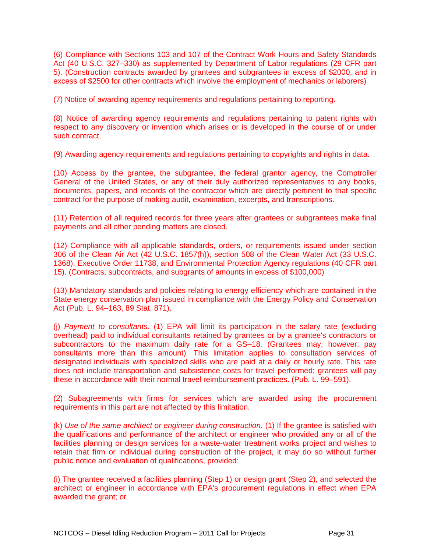(6) Compliance with Sections 103 and 107 of the Contract Work Hours and Safety Standards Act (40 U.S.C. 327–330) as supplemented by Department of Labor regulations (29 CFR part 5). (Construction contracts awarded by grantees and subgrantees in excess of \$2000, and in excess of \$2500 for other contracts which involve the employment of mechanics or laborers)

(7) Notice of awarding agency requirements and regulations pertaining to reporting.

(8) Notice of awarding agency requirements and regulations pertaining to patent rights with respect to any discovery or invention which arises or is developed in the course of or under such contract.

(9) Awarding agency requirements and regulations pertaining to copyrights and rights in data.

(10) Access by the grantee, the subgrantee, the federal grantor agency, the Comptroller General of the United States, or any of their duly authorized representatives to any books, documents, papers, and records of the contractor which are directly pertinent to that specific contract for the purpose of making audit, examination, excerpts, and transcriptions.

(11) Retention of all required records for three years after grantees or subgrantees make final payments and all other pending matters are closed.

(12) Compliance with all applicable standards, orders, or requirements issued under section 306 of the Clean Air Act (42 U.S.C. 1857(h)), section 508 of the Clean Water Act (33 U.S.C. 1368), Executive Order 11738, and Environmental Protection Agency regulations (40 CFR part 15). (Contracts, subcontracts, and subgrants of amounts in excess of \$100,000)

(13) Mandatory standards and policies relating to energy efficiency which are contained in the State energy conservation plan issued in compliance with the Energy Policy and Conservation Act (Pub. L. 94–163, 89 Stat. 871).

(j) *Payment to consultants.* (1) EPA will limit its participation in the salary rate (excluding overhead) paid to individual consultants retained by grantees or by a grantee's contractors or subcontractors to the maximum daily rate for a GS–18. (Grantees may, however, pay consultants more than this amount). This limitation applies to consultation services of designated individuals with specialized skills who are paid at a daily or hourly rate. This rate does not include transportation and subsistence costs for travel performed; grantees will pay these in accordance with their normal travel reimbursement practices. (Pub. L. 99–591).

(2) Subagreements with firms for services which are awarded using the procurement requirements in this part are not affected by this limitation.

(k) *Use of the same architect or engineer during construction.* (1) If the grantee is satisfied with the qualifications and performance of the architect or engineer who provided any or all of the facilities planning or design services for a waste-water treatment works project and wishes to retain that firm or individual during construction of the project, it may do so without further public notice and evaluation of qualifications, provided:

(i) The grantee received a facilities planning (Step 1) or design grant (Step 2), and selected the architect or engineer in accordance with EPA's procurement regulations in effect when EPA awarded the grant; or